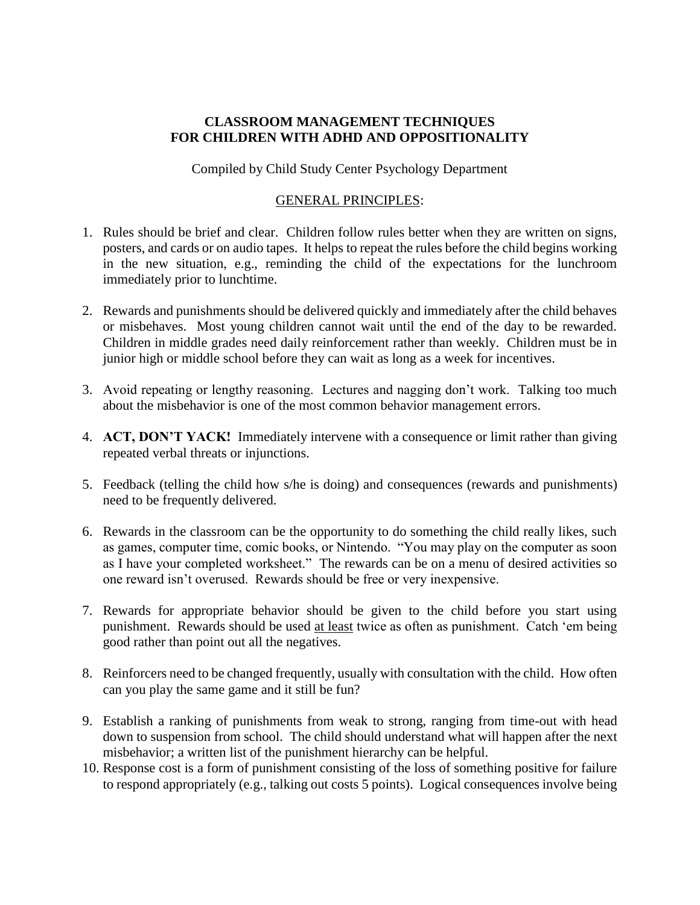## **CLASSROOM MANAGEMENT TECHNIQUES FOR CHILDREN WITH ADHD AND OPPOSITIONALITY**

Compiled by Child Study Center Psychology Department

## GENERAL PRINCIPLES:

- 1. Rules should be brief and clear. Children follow rules better when they are written on signs, posters, and cards or on audio tapes. It helps to repeat the rules before the child begins working in the new situation, e.g., reminding the child of the expectations for the lunchroom immediately prior to lunchtime.
- 2. Rewards and punishments should be delivered quickly and immediately after the child behaves or misbehaves. Most young children cannot wait until the end of the day to be rewarded. Children in middle grades need daily reinforcement rather than weekly. Children must be in junior high or middle school before they can wait as long as a week for incentives.
- 3. Avoid repeating or lengthy reasoning. Lectures and nagging don't work. Talking too much about the misbehavior is one of the most common behavior management errors.
- 4. **ACT, DON'T YACK!** Immediately intervene with a consequence or limit rather than giving repeated verbal threats or injunctions.
- 5. Feedback (telling the child how s/he is doing) and consequences (rewards and punishments) need to be frequently delivered.
- 6. Rewards in the classroom can be the opportunity to do something the child really likes, such as games, computer time, comic books, or Nintendo. "You may play on the computer as soon as I have your completed worksheet." The rewards can be on a menu of desired activities so one reward isn't overused. Rewards should be free or very inexpensive.
- 7. Rewards for appropriate behavior should be given to the child before you start using punishment. Rewards should be used at least twice as often as punishment. Catch 'em being good rather than point out all the negatives.
- 8. Reinforcers need to be changed frequently, usually with consultation with the child. How often can you play the same game and it still be fun?
- 9. Establish a ranking of punishments from weak to strong, ranging from time-out with head down to suspension from school. The child should understand what will happen after the next misbehavior; a written list of the punishment hierarchy can be helpful.
- 10. Response cost is a form of punishment consisting of the loss of something positive for failure to respond appropriately (e.g., talking out costs 5 points). Logical consequences involve being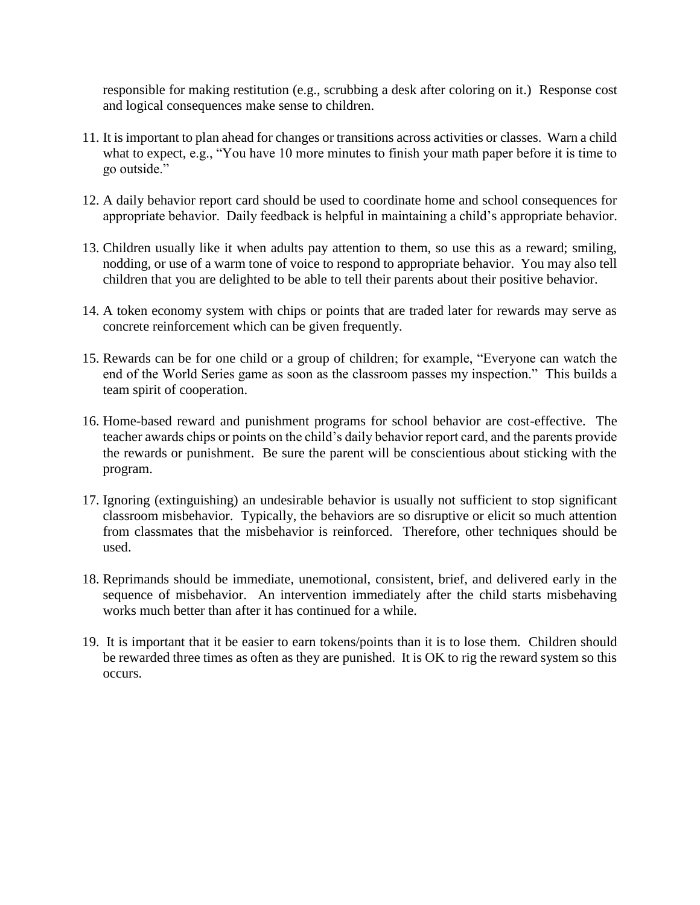responsible for making restitution (e.g., scrubbing a desk after coloring on it.) Response cost and logical consequences make sense to children.

- 11. It is important to plan ahead for changes or transitions across activities or classes. Warn a child what to expect, e.g., "You have 10 more minutes to finish your math paper before it is time to go outside."
- 12. A daily behavior report card should be used to coordinate home and school consequences for appropriate behavior. Daily feedback is helpful in maintaining a child's appropriate behavior.
- 13. Children usually like it when adults pay attention to them, so use this as a reward; smiling, nodding, or use of a warm tone of voice to respond to appropriate behavior. You may also tell children that you are delighted to be able to tell their parents about their positive behavior.
- 14. A token economy system with chips or points that are traded later for rewards may serve as concrete reinforcement which can be given frequently.
- 15. Rewards can be for one child or a group of children; for example, "Everyone can watch the end of the World Series game as soon as the classroom passes my inspection." This builds a team spirit of cooperation.
- 16. Home-based reward and punishment programs for school behavior are cost-effective. The teacher awards chips or points on the child's daily behavior report card, and the parents provide the rewards or punishment. Be sure the parent will be conscientious about sticking with the program.
- 17. Ignoring (extinguishing) an undesirable behavior is usually not sufficient to stop significant classroom misbehavior. Typically, the behaviors are so disruptive or elicit so much attention from classmates that the misbehavior is reinforced. Therefore, other techniques should be used.
- 18. Reprimands should be immediate, unemotional, consistent, brief, and delivered early in the sequence of misbehavior. An intervention immediately after the child starts misbehaving works much better than after it has continued for a while.
- 19. It is important that it be easier to earn tokens/points than it is to lose them. Children should be rewarded three times as often as they are punished. It is OK to rig the reward system so this occurs.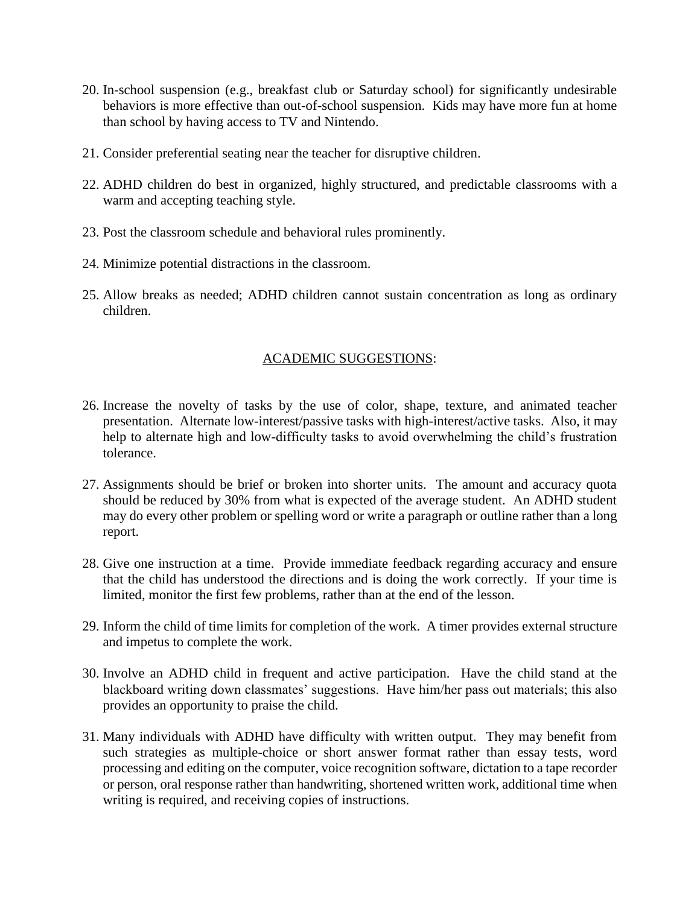- 20. In-school suspension (e.g., breakfast club or Saturday school) for significantly undesirable behaviors is more effective than out-of-school suspension. Kids may have more fun at home than school by having access to TV and Nintendo.
- 21. Consider preferential seating near the teacher for disruptive children.
- 22. ADHD children do best in organized, highly structured, and predictable classrooms with a warm and accepting teaching style.
- 23. Post the classroom schedule and behavioral rules prominently.
- 24. Minimize potential distractions in the classroom.
- 25. Allow breaks as needed; ADHD children cannot sustain concentration as long as ordinary children.

## ACADEMIC SUGGESTIONS:

- 26. Increase the novelty of tasks by the use of color, shape, texture, and animated teacher presentation. Alternate low-interest/passive tasks with high-interest/active tasks. Also, it may help to alternate high and low-difficulty tasks to avoid overwhelming the child's frustration tolerance.
- 27. Assignments should be brief or broken into shorter units. The amount and accuracy quota should be reduced by 30% from what is expected of the average student. An ADHD student may do every other problem or spelling word or write a paragraph or outline rather than a long report.
- 28. Give one instruction at a time. Provide immediate feedback regarding accuracy and ensure that the child has understood the directions and is doing the work correctly. If your time is limited, monitor the first few problems, rather than at the end of the lesson.
- 29. Inform the child of time limits for completion of the work. A timer provides external structure and impetus to complete the work.
- 30. Involve an ADHD child in frequent and active participation. Have the child stand at the blackboard writing down classmates' suggestions. Have him/her pass out materials; this also provides an opportunity to praise the child.
- 31. Many individuals with ADHD have difficulty with written output. They may benefit from such strategies as multiple-choice or short answer format rather than essay tests, word processing and editing on the computer, voice recognition software, dictation to a tape recorder or person, oral response rather than handwriting, shortened written work, additional time when writing is required, and receiving copies of instructions.